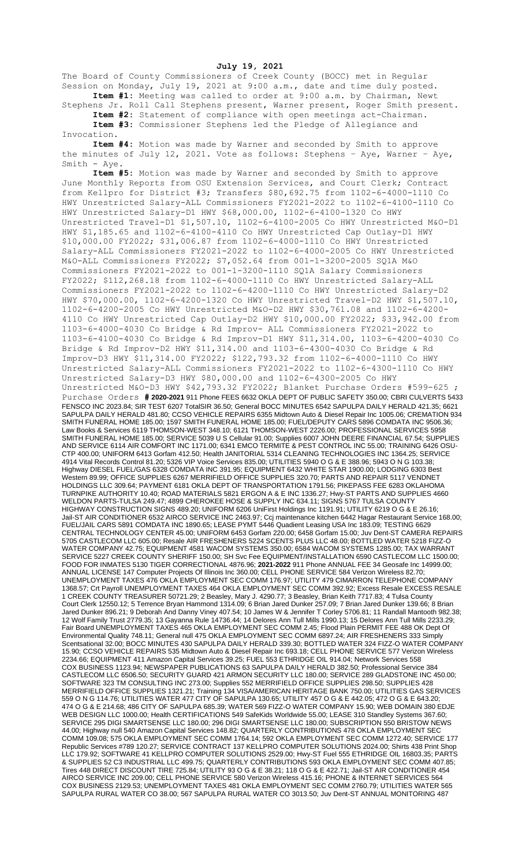**July 19, 2021**

The Board of County Commissioners of Creek County (BOCC) met in Regular Session on Monday, July 19, 2021 at 9:00 a.m., date and time duly posted. **Item #1:** Meeting was called to order at 9:00 a.m. by Chairman, Newt

Stephens Jr. Roll Call Stephens present, Warner present, Roger Smith present. **Item #2:** Statement of compliance with open meetings act-Chairman.

**Item #3:** Commissioner Stephens led the Pledge of Allegiance and Invocation.

**Item #4:** Motion was made by Warner and seconded by Smith to approve the minutes of July 12, 2021. Vote as follows: Stephens – Aye, Warner – Aye, Smith - Aye.

**Item #5:** Motion was made by Warner and seconded by Smith to approve June Monthly Reports from OSU Extension Services, and Court Clerk; Contract from Kellpro for District #3; Transfers \$80,692.75 from 1102-6-4000-1110 Co HWY Unrestricted Salary-ALL Commissioners FY2021-2022 to 1102-6-4100-1110 Co HWY Unrestricted Salary-D1 HWY \$68,000.00, 1102-6-4100-1320 Co HWY Unrestricted Travel-D1 \$1,507.10, 1102-6-4100-2005 Co HWY Unrestricted M&O-D1 HWY \$1,185.65 and 1102-6-4100-4110 Co HWY Unrestricted Cap Outlay-D1 HWY \$10,000.00 FY2022; \$31,006.87 from 1102-6-4000-1110 Co HWY Unrestricted Salary-ALL Commissioners FY2021-2022 to 1102-6-4000-2005 Co HWY Unrestricted M&O-ALL Commissioners FY2022; \$7,052.64 from 001-1-3200-2005 SQ1A M&O Commissioners FY2021-2022 to 001-1-3200-1110 SQ1A Salary Commissioners FY2022; \$112,268.18 from 1102-6-4000-1110 Co HWY Unrestricted Salary-ALL Commissioners FY2021-2022 to 1102-6-4200-1110 Co HWY Unrestricted Salary-D2 HWY \$70,000.00, 1102-6-4200-1320 Co HWY Unrestricted Travel-D2 HWY \$1,507.10, 1102-6-4200-2005 Co HWY Unrestricted M&O-D2 HWY \$30,761.08 and 1102-6-4200- 4110 Co HWY Unrestricted Cap Outlay-D2 HWY \$10,000.00 FY2022; \$33,942.00 from 1103-6-4000-4030 Co Bridge & Rd Improv- ALL Commissioners FY2021-2022 to 1103-6-4100-4030 Co Bridge & Rd Improv-D1 HWY \$11,314.00, 1103-6-4200-4030 Co Bridge & Rd Improv-D2 HWY \$11,314.00 and 1103-6-4300-4030 Co Bridge & Rd Improv-D3 HWY \$11,314.00 FY2022; \$122,793.32 from 1102-6-4000-1110 Co HWY Unrestricted Salary-ALL Commissioners FY2021-2022 to 1102-6-4300-1110 Co HWY Unrestricted Salary-D3 HWY \$80,000.00 and 1102-6-4300-2005 Co HWY Unrestricted M&O-D3 HWY \$42,793.32 FY2022; Blanket Purchase Orders #599-625 ; Purchase Orders **# 2020-2021** 911 Phone FEES 6632 OKLA DEPT OF PUBLIC SAFETY 350.00; CBRI CULVERTS 5433 FENSCO INC 2023.84; SIR TEST 6207 TotalSIR 36.50; General BOCC MINUTES 6542 SAPULPA DAILY HERALD 421.35; 6621 SAPULPA DAILY HERALD 481.80; CCSO VEHICLE REPAIRS 6355 Midtown Auto & Diesel Repair Inc 1005.06; CREMATION 934 SMITH FUNERAL HOME 185.00; 1597 SMITH FUNERAL HOME 185.00; FUEL/DEPUTY CARS 5896 COMDATA INC 9506.36; Law Books & Services 6119 THOMSON-WEST 348.10; 6121 THOMSON-WEST 2226.00; PROFESSIONAL SERVICES 5958 SMITH FUNERAL HOME 185.00; SERVICE 5039 U S Cellular 91.00; Supplies 6007 JOHN DEERE FINANCIAL 67.54; SUPPLIES AND SERVICE 6114 AIR COMFORT INC 1171.00; 6341 EMCO TERMITE & PEST CONTROL INC 55.00; TRAINING 6426 OSU-CTP 400.00; UNIFORM 6413 Gorfam 412.50; Health JANITORIAL 5314 CLEANING TECHNOLOGIES INC 1364.25; SERVICE 4914 Vital Records Control 81.20; 5326 VIP Voice Services 835.00; UTILITIES 5940 O G & E 388.96; 5943 O N G 103.38; Highway DIESEL FUEL/GAS 6328 COMDATA INC 391.95; EQUIPMENT 6432 WHITE STAR 1900.00; LODGING 6303 Best Western 89.99; OFFICE SUPPLIES 6267 MERRIFIELD OFFICE SUPPLIES 320.70; PARTS AND REPAIR 5117 VENDNET HOLDINGS LLC 309.64; PAYMENT 6181 OKLA DEPT OF TRANSPORTATION 1791.56; PIKEPASS FEE 6283 OKLAHOMA TURNPIKE AUTHORITY 10.40; ROAD MATERIALS 5821 ERGON A & E INC 1336.27; Hwy-ST PARTS AND SUPPLIES 4660 WELDON PARTS-TULSA 249.47; 4899 CHEROKEE HOSE & SUPPLY INC 634.11; SIGNS 5767 TULSA COUNTY HIGHWAY CONSTRUCTION SIGNS 489.20; UNIFORM 6206 UniFirst Holdings Inc 1191.91; UTILITY 6219 O G & E 26.16; Jail-ST AIR CONDITIONER 6532 AIRCO SERVICE INC 2463.97; Ccj maintenance kitchen 6442 Hagar Restaurant Service 168.00; FUEL/JAIL CARS 5891 COMDATA INC 1890.65; LEASE PYMT 5446 Quadient Leasing USA Inc 183.09; TESTING 6629 CENTRAL TECHNOLOGY CENTER 45.00; UNIFORM 6453 Gorfam 220.00; 6458 Gorfam 15.00; Juv Dent-ST CAMERA REPAIRS 5705 CASTLECOM LLC 605.00; Resale AIR FRESHENERS 5224 SCENTS PLUS LLC 48.00; BOTTLED WATER 5218 FIZZ-O WATER COMPANY 42.75; EQUIPMENT 4581 WACOM SYSTEMS 350.00; 6584 WACOM SYSTEMS 1285.00; TAX WARRANT SERVICE 5227 CREEK COUNTY SHERIFF 150.00; SH Svc Fee EQUIPMENT/INSTALLATION 6590 CASTLECOM LLC 1500.00; FOOD FOR INMATES 5130 TIGER CORRECTIONAL 4876.96; **2021-2022** 911 Phone ANNUAL FEE 34 Geosafe Inc 14999.00; ANNUAL LICENSE 147 Computer Projects Of Illinois Inc 360.00; CELL PHONE SERVICE 584 Verizon Wireless 82.70; UNEMPLOYMENT TAXES 476 OKLA EMPLOYMENT SEC COMM 176.97; UTILITY 479 CIMARRON TELEPHONE COMPANY 1368.57; Crt Payroll UNEMPLOYMENT TAXES 464 OKLA EMPLOYMENT SEC COMM 392.92; Excess Resale EXCESS RESALE 1 CREEK COUNTY TREASURER 50721.29; 2 Beasley, Mary J. 4290.77; 3 Beasley, Brian Keith 7717.83; 4 Tulsa County Court Clerk 12550.12; 5 Terrence Bryan Hammond 1314.09; 6 Brian Jared Dunker 257.09; 7 Brian Jared Dunker 139.66; 8 Brian Jared Dunker 896.21; 9 Deborah And Danny Viney 407.54; 10 James W & Jennifer T Corley 5706.81; 11 Randall Mantooth 982.38; 12 Wolf Family Trust 2779.35; 13 Gayanna Rule 14736.44; 14 Delores Ann Tull Mills 1990.13; 15 Delores Ann Tull Mills 2233.29; Fair Board UNEMPLOYMENT TAXES 465 OKLA EMPLOYMENT SEC COMM 2.45; Flood Plain PERMIT FEE 488 OK Dept Of Environmental Quality 748.11; General null 475 OKLA EMPLOYMENT SEC COMM 6897.24; AIR FRESHENERS 333 Simply Scentsational 32.00; BOCC MINUTES 430 SAPULPA DAILY HERALD 339.30; BOTTLED WATER 324 FIZZ-O WATER COMPANY 15.90; CCSO VEHICLE REPAIRS 535 Midtown Auto & Diesel Repair Inc 693.18; CELL PHONE SERVICE 577 Verizon Wireless 2234.66; EQUIPMENT 411 Amazon Capital Services 39.25; FUEL 553 ETHRIDGE OIL 914.04; Network Services 558 COX BUSINESS 1123.94; NEWSPAPER PUBLICATIONS 63 SAPULPA DAILY HERALD 382.50; Professional Service 384 CASTLECOM LLC 6506.50; SECURITY GUARD 421 ARMON SECURITY LLC 180.00; SERVICE 289 GLADSTONE INC 450.00; SOFTWARE 323 TM CONSULTING INC 273.00; Supplies 552 MERRIFIELD OFFICE SUPPLIES 298.50; SUPPLIES 428 MERRIFIELD OFFICE SUPPLIES 1321.21; Training 134 VISA/AMERICAN HERITAGE BANK 750.00; UTILITIES GAS SERVICES 559 O N G 114.76; UTILITIES WATER 477 CITY OF SAPULPA 130.65; UTILITY 457 O G & E 442.05; 472 O G & E 643.20; 474 O G & E 214.68; 486 CITY OF SAPULPA 685.39; WATER 569 FIZZ-O WATER COMPANY 15.90; WEB DOMAIN 380 EDJE WEB DESIGN LLC 1000.00; Health CERTIFICATIONS 549 SafeKids Worldwide 55.00; LEASE 310 Standley Systems 367.60; SERVICE 295 DIGI SMARTSENSE LLC 180.00; 296 DIGI SMARTSENSE LLC 180.00; SUBSCRIPTION 550 BRISTOW NEWS 44.00; Highway null 540 Amazon Capital Services 148.82; QUARTERLY CONTRIBUTIONS 478 OKLA EMPLOYMENT SEC COMM 109.08; 575 OKLA EMPLOYMENT SEC COMM 1764.14; 592 OKLA EMPLOYMENT SEC COMM 1272.40; SERVICE 177 Republic Services #789 120.27; SERVICE CONTRACT 137 KELLPRO COMPUTER SOLUTIONS 2024.00; Shirts 438 Print Shop LLC 179.92; SOFTWARE 41 KELLPRO COMPUTER SOLUTIONS 2529.00; Hwy-ST Fuel 555 ETHRIDGE OIL 16803.35; PARTS & SUPPLIES 52 C3 INDUSTRIAL LLC 499.75; QUARTERLY CONTRIBUTIONS 593 OKLA EMPLOYMENT SEC COMM 407.85; Tires 448 DIRECT DISCOUNT TIRE 725.84; UTILITY 93 O G & E 38.21; 118 O G & E 422.71; Jail-ST AIR CONDITIONER 454 AIRCO SERVICE INC 209.00; CELL PHONE SERVICE 580 Verizon Wireless 415.16; PHONE & INTERNET SERVICES 564 COX BUSINESS 2129.53; UNEMPLOYMENT TAXES 481 OKLA EMPLOYMENT SEC COMM 2760.79; UTILITIES WATER 565 SAPULPA RURAL WATER CO 38.00; 567 SAPULPA RURAL WATER CO 3013.50; Juv Dent-ST ANNUAL MONITORING 487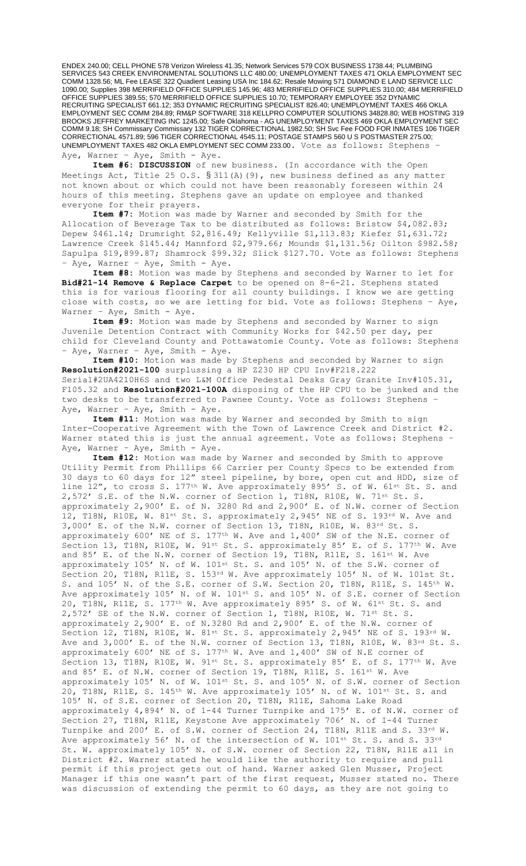ENDEX 240.00; CELL PHONE 578 Verizon Wireless 41.35; Network Services 579 COX BUSINESS 1738.44; PLUMBING SERVICES 543 CREEK ENVIRONMENTAL SOLUTIONS LLC 480.00; UNEMPLOYMENT TAXES 471 OKLA EMPLOYMENT SEC COMM 1328.56; ML Fee LEASE 322 Quadient Leasing USA Inc 184.62; Resale Mowing 571 DIAMOND E LAND SERVICE LLC 1090.00; Supplies 398 MERRIFIELD OFFICE SUPPLIES 145.96; 483 MERRIFIELD OFFICE SUPPLIES 310.00; 484 MERRIFIELD OFFICE SUPPLIES 389.55; 570 MERRIFIELD OFFICE SUPPLIES 10.70; TEMPORARY EMPLOYEE 352 DYNAMIC RECRUITING SPECIALIST 661.12; 353 DYNAMIC RECRUITING SPECIALIST 826.40; UNEMPLOYMENT TAXES 466 OKLA EMPLOYMENT SEC COMM 284.89; RM&P SOFTWARE 318 KELLPRO COMPUTER SOLUTIONS 34828.80; WEB HOSTING 319 BROOKS JEFFREY MARKETING INC 1245.00; Safe Oklahoma - AG UNEMPLOYMENT TAXES 469 OKLA EMPLOYMENT SEC COMM 9.18; SH Commissary Commissary 132 TIGER CORRECTIONAL 1982.50; SH Svc Fee FOOD FOR INMATES 106 TIGER CORRECTIONAL 4571.89; 596 TIGER CORRECTIONAL 4545.11; POSTAGE STAMPS 560 U S POSTMASTER 275.00; UNEMPLOYMENT TAXES 482 OKLA EMPLOYMENT SEC COMM 233.00. Vote as follows: Stephens – Aye, Warner - Aye, Smith - Aye.

**Item #6: DISCUSSION** of new business. (In accordance with the Open Meetings Act, Title 25 O.S. § 311(A)(9), new business defined as any matter not known about or which could not have been reasonably foreseen within 24 hours of this meeting. Stephens gave an update on employee and thanked everyone for their prayers.

**Item #7:** Motion was made by Warner and seconded by Smith for the Allocation of Beverage Tax to be distributed as follows: Bristow \$4,082.83; Depew \$461.14; Drumright \$2,816.49; Kellyville \$1,113.83; Kiefer \$1,631.72; Lawrence Creek \$145.44; Mannford \$2,979.66; Mounds \$1,131.56; Oilton \$982.58; Sapulpa \$19,899.87; Shamrock \$99.32; Slick \$127.70. Vote as follows: Stephens - Aye, Warner - Aye, Smith - Aye.

**Item #8:** Motion was made by Stephens and seconded by Warner to let for **Bid#21-14 Remove & Replace Carpet** to be opened on 8-6-21. Stephens stated this is for various flooring for all county buildings. I know we are getting close with costs, so we are letting for bid. Vote as follows: Stephens – Aye, Warner - Aye, Smith - Aye.

 **Item #9:** Motion was made by Stephens and seconded by Warner to sign Juvenile Detention Contract with Community Works for \$42.50 per day, per child for Cleveland County and Pottawatomie County. Vote as follows: Stephens – Aye, Warner – Aye, Smith - Aye.

**Item #10:** Motion was made by Stephens and seconded by Warner to sign **Resolution#2021-100** surplussing a HP Z230 HP CPU Inv#F218.222 Serial#2UA4210H6S and two L&M Office Pedestal Desks Gray Granite Inv#105.31, F105.32 and **Resolution#2021-100A** disposing of the HP CPU to be junked and the two desks to be transferred to Pawnee County. Vote as follows: Stephens – Aye, Warner - Aye, Smith - Aye.

**Item #11:** Motion was made by Warner and seconded by Smith to sign Inter-Cooperative Agreement with the Town of Lawrence Creek and District #2. Warner stated this is just the annual agreement. Vote as follows: Stephens – Aye, Warner - Aye, Smith - Aye.

**Item #12:** Motion was made by Warner and seconded by Smith to approve Utility Permit from Phillips 66 Carrier per County Specs to be extended from 30 days to 60 days for 12" steel pipeline, by bore, open cut and HDD, size of line 12", to cross S. 177<sup>th</sup> W. Ave approximately 895' S. of W. 61<sup>st</sup> St. S. and 2,572' S.E. of the N.W. corner of Section 1, T18N, R10E, W. 71st St. S. approximately 2,900' E. of N. 3280 Rd and 2,900' E. of N.W. corner of Section 12, T18N, R10E, W. 81st St. S. approximately 2,945' NE of S. 193 $^{rd}$  W. Ave and 3,000' E. of the N.W. corner of Section 13, T18N, R10E, W. 83rd St. S. approximately 600' NE of S. 177th W. Ave and 1,400' SW of the N.E. corner of Section 13, T18N, R10E, W. 91st St. S. approximately 85' E. of S. 177<sup>th</sup> W. Ave and 85' E. of the N.W. corner of Section 19, T18N, R11E, S. 161<sup>st</sup> W. Ave approximately 105' N. of W. 101st St. S. and 105' N. of the S.W. corner of Section 20, T18N, R11E, S. 153rd W. Ave approximately 105' N. of W. 101st St. S. and 105' N. of the S.E. corner of S.W. Section 20, T18N, R11E, S. 145<sup>th</sup> W. Ave approximately 105' N. of W. 101st S. and 105' N. of S.E. corner of Section 20, T18N, R11E, S. 177<sup>th</sup> W. Ave approximately 895' S. of W. 61<sup>st</sup> St. S. and 2,572' SE of the N.W. corner of Section 1, T18N, R10E, W. 71st St. S. approximately 2,900' E. of N.3280 Rd and 2,900' E. of the N.W. corner of Section 12, T18N, R10E, W. 81st St. S. approximately 2,945' NE of S. 193rd W. Ave and  $3,000'$  E. of the N.W. corner of Section 13, T18N, R10E, W. 83<sup>rd</sup> St. S. approximately 600' NE of S. 177<sup>th</sup> W. Ave and 1,400' SW of N.E corner of Section 13, T18N, R10E, W. 91st St. S. approximately 85' E. of S. 177<sup>th</sup> W. Ave and 85' E. of N.W. corner of Section 19, T18N, R11E, S. 161<sup>st</sup> W. Ave approximately 105' N. of W. 101st St. S. and 105' N. of S.W. corner of Section 20, T18N, R11E, S. 145<sup>th</sup> W. Ave approximately 105' N. of W. 101<sup>st</sup> St. S. and 105' N. of S.E. corner of Section 20, T18N, R11E, Sahoma Lake Road approximately 4,894' N. of 1-44 Turner Turnpike and 175' E. of N.W. corner of Section 27, T18N, R11E, Keystone Ave approximately 706' N. of I-44 Turner Turnpike and 200' E. of S.W. corner of Section 24, T18N, R11E and S. 33rd W. Ave approximately 56' N. of the intersection of W. 101st St. S. and S. 33rd St. W. approximately 105' N. of S.W. corner of Section 22, T18N, R11E all in District #2. Warner stated he would like the authority to require and pull permit if this project gets out of hand. Warner asked Glen Musser, Project Manager if this one wasn't part of the first request, Musser stated no. There was discussion of extending the permit to 60 days, as they are not going to